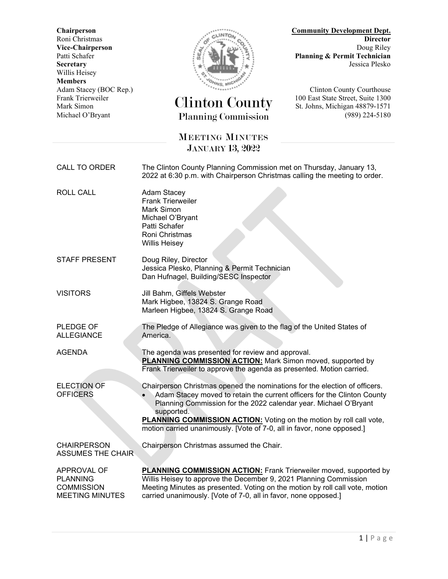Willis Heisey **Members**



## Frank Trierweiler Clinton County 100 East State Street, Suite 1300 Mark Simon St. Johns, Michigan 48879-1571 Michael O'Bryant Planning Commission (989) 224-5180

**Chairperson Community Development Dept.** Roni Christmas **Director Vice-Chairperson** Doug Riley<br>Patti Schafer **Doug Riley**<br>Planning & Permit Technician Planning & Permit Technician **Secretary** Jessica Plesko

Adam Stacey (BOC Rep.)<br>
Frank Trierweiler (CH Courthouse Courthouse Courthouse Courthouse Courthouse Courthouse Courthouse Courthouse

## MEETING MINUTES JANUARY 13, 2022

CALL TO ORDER The Clinton County Planning Commission met on Thursday, January 13, 2022 at 6:30 p.m. with Chairperson Christmas calling the meeting to order. ROLL CALL Adam Stacey Frank Trierweiler Mark Simon Michael O'Bryant Patti Schafer Roni Christmas Willis Heisey STAFF PRESENT Doug Riley, Director Jessica Plesko, Planning & Permit Technician Dan Hufnagel, Building/SESC Inspector VISITORS Jill Bahm, Giffels Webster Mark Higbee, 13824 S. Grange Road Marleen Higbee, 13824 S. Grange Road PLEDGE OF ALLEGIANCE The Pledge of Allegiance was given to the flag of the United States of America. AGENDA The agenda was presented for review and approval. **PLANNING COMMISSION ACTION:** Mark Simon moved, supported by Frank Trierweiler to approve the agenda as presented. Motion carried. ELECTION OF **OFFICERS** Chairperson Christmas opened the nominations for the election of officers. • Adam Stacey moved to retain the current officers for the Clinton County Planning Commission for the 2022 calendar year. Michael O'Bryant supported. **PLANNING COMMISSION ACTION:** Voting on the motion by roll call vote, motion carried unanimously. [Vote of 7-0, all in favor, none opposed.] **CHAIRPERSON** ASSUMES THE CHAIR Chairperson Christmas assumed the Chair. APPROVAL OF **PLANNING COMMISSION** MEETING MINUTES **PLANNING COMMISSION ACTION:** Frank Trierweiler moved, supported by Willis Heisey to approve the December 9, 2021 Planning Commission Meeting Minutes as presented. Voting on the motion by roll call vote, motion carried unanimously. [Vote of 7-0, all in favor, none opposed.]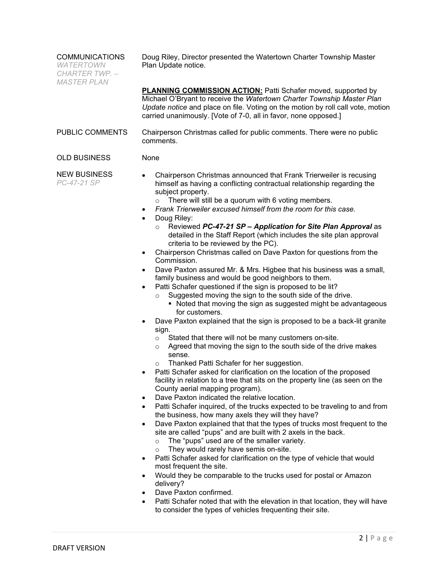| <b>COMMUNICATIONS</b><br><b>WATERTOWN</b><br>CHARTER TWP. -<br><b>MASTER PLAN</b> | Doug Riley, Director presented the Watertown Charter Township Master<br>Plan Update notice.                                                                                                                                                                                                                                                                                                                                                                                                                                                                                                                                                                                                                                                                                                                                                                                                                                                                                                                                                                                                                                                                                                                                                                                                                                                                                                                                                                                                                                                                                                                                                                                                                                                                                                                                                                                                                                                                                                                                                                                                                                                                                                                                                                                                                                                                                                                                             |
|-----------------------------------------------------------------------------------|-----------------------------------------------------------------------------------------------------------------------------------------------------------------------------------------------------------------------------------------------------------------------------------------------------------------------------------------------------------------------------------------------------------------------------------------------------------------------------------------------------------------------------------------------------------------------------------------------------------------------------------------------------------------------------------------------------------------------------------------------------------------------------------------------------------------------------------------------------------------------------------------------------------------------------------------------------------------------------------------------------------------------------------------------------------------------------------------------------------------------------------------------------------------------------------------------------------------------------------------------------------------------------------------------------------------------------------------------------------------------------------------------------------------------------------------------------------------------------------------------------------------------------------------------------------------------------------------------------------------------------------------------------------------------------------------------------------------------------------------------------------------------------------------------------------------------------------------------------------------------------------------------------------------------------------------------------------------------------------------------------------------------------------------------------------------------------------------------------------------------------------------------------------------------------------------------------------------------------------------------------------------------------------------------------------------------------------------------------------------------------------------------------------------------------------------|
|                                                                                   | <b>PLANNING COMMISSION ACTION:</b> Patti Schafer moved, supported by<br>Michael O'Bryant to receive the Watertown Charter Township Master Plan<br>Update notice and place on file. Voting on the motion by roll call vote, motion<br>carried unanimously. [Vote of 7-0, all in favor, none opposed.]                                                                                                                                                                                                                                                                                                                                                                                                                                                                                                                                                                                                                                                                                                                                                                                                                                                                                                                                                                                                                                                                                                                                                                                                                                                                                                                                                                                                                                                                                                                                                                                                                                                                                                                                                                                                                                                                                                                                                                                                                                                                                                                                    |
| PUBLIC COMMENTS                                                                   | Chairperson Christmas called for public comments. There were no public<br>comments.                                                                                                                                                                                                                                                                                                                                                                                                                                                                                                                                                                                                                                                                                                                                                                                                                                                                                                                                                                                                                                                                                                                                                                                                                                                                                                                                                                                                                                                                                                                                                                                                                                                                                                                                                                                                                                                                                                                                                                                                                                                                                                                                                                                                                                                                                                                                                     |
| <b>OLD BUSINESS</b>                                                               | None                                                                                                                                                                                                                                                                                                                                                                                                                                                                                                                                                                                                                                                                                                                                                                                                                                                                                                                                                                                                                                                                                                                                                                                                                                                                                                                                                                                                                                                                                                                                                                                                                                                                                                                                                                                                                                                                                                                                                                                                                                                                                                                                                                                                                                                                                                                                                                                                                                    |
| <b>NEW BUSINESS</b><br>PC-47-21 SP                                                | Chairperson Christmas announced that Frank Trierweiler is recusing<br>٠<br>himself as having a conflicting contractual relationship regarding the<br>subject property.<br>There will still be a quorum with 6 voting members.<br>$\circ$<br>Frank Trierweiler excused himself from the room for this case.<br>$\bullet$<br>Doug Riley:<br>$\bullet$<br>Reviewed PC-47-21 SP - Application for Site Plan Approval as<br>detailed in the Staff Report (which includes the site plan approval<br>criteria to be reviewed by the PC).<br>Chairperson Christmas called on Dave Paxton for questions from the<br>$\bullet$<br>Commission.<br>Dave Paxton assured Mr. & Mrs. Higbee that his business was a small,<br>$\bullet$<br>family business and would be good neighbors to them.<br>Patti Schafer questioned if the sign is proposed to be lit?<br>$\bullet$<br>Suggested moving the sign to the south side of the drive.<br>$\circ$<br>• Noted that moving the sign as suggested might be advantageous<br>for customers.<br>Dave Paxton explained that the sign is proposed to be a back-lit granite<br>٠<br>sign.<br>Stated that there will not be many customers on-site.<br>$\circ$<br>Agreed that moving the sign to the south side of the drive makes<br>$\circ$<br>sense.<br>Thanked Patti Schafer for her suggestion.<br>Patti Schafer asked for clarification on the location of the proposed<br>$\bullet$<br>facility in relation to a tree that sits on the property line (as seen on the<br>County aerial mapping program).<br>Dave Paxton indicated the relative location.<br>$\bullet$<br>Patti Schafer inquired, of the trucks expected to be traveling to and from<br>$\bullet$<br>the business, how many axels they will they have?<br>Dave Paxton explained that that the types of trucks most frequent to the<br>$\bullet$<br>site are called "pups" and are built with 2 axels in the back.<br>The "pups" used are of the smaller variety.<br>$\circ$<br>They would rarely have semis on-site.<br>$\circ$<br>Patti Schafer asked for clarification on the type of vehicle that would<br>$\bullet$<br>most frequent the site.<br>Would they be comparable to the trucks used for postal or Amazon<br>$\bullet$<br>delivery?<br>Dave Paxton confirmed.<br>$\bullet$<br>Patti Schafer noted that with the elevation in that location, they will have<br>٠<br>to consider the types of vehicles frequenting their site. |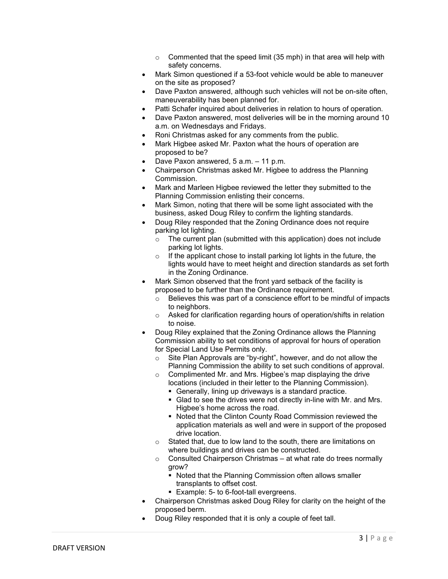- $\circ$  Commented that the speed limit (35 mph) in that area will help with safety concerns.
- Mark Simon questioned if a 53-foot vehicle would be able to maneuver on the site as proposed?
- Dave Paxton answered, although such vehicles will not be on-site often, maneuverability has been planned for.
- Patti Schafer inquired about deliveries in relation to hours of operation.
- Dave Paxton answered, most deliveries will be in the morning around 10 a.m. on Wednesdays and Fridays.
- Roni Christmas asked for any comments from the public.
- Mark Higbee asked Mr. Paxton what the hours of operation are proposed to be?
- Dave Paxon answered, 5 a.m. 11 p.m.
- Chairperson Christmas asked Mr. Higbee to address the Planning Commission.
- Mark and Marleen Higbee reviewed the letter they submitted to the Planning Commission enlisting their concerns.
- Mark Simon, noting that there will be some light associated with the business, asked Doug Riley to confirm the lighting standards.
- Doug Riley responded that the Zoning Ordinance does not require parking lot lighting.
	- $\circ$  The current plan (submitted with this application) does not include parking lot lights.
	- $\circ$  If the applicant chose to install parking lot lights in the future, the lights would have to meet height and direction standards as set forth in the Zoning Ordinance.
- Mark Simon observed that the front yard setback of the facility is proposed to be further than the Ordinance requirement.
	- o Believes this was part of a conscience effort to be mindful of impacts to neighbors.
	- o Asked for clarification regarding hours of operation/shifts in relation to noise.
- Doug Riley explained that the Zoning Ordinance allows the Planning Commission ability to set conditions of approval for hours of operation for Special Land Use Permits only.
	- o Site Plan Approvals are "by-right", however, and do not allow the Planning Commission the ability to set such conditions of approval.
	- $\circ$  Complimented Mr. and Mrs. Higbee's map displaying the drive locations (included in their letter to the Planning Commission).
		- Generally, lining up driveways is a standard practice.
		- Glad to see the drives were not directly in-line with Mr. and Mrs. Higbee's home across the road.
		- Noted that the Clinton County Road Commission reviewed the application materials as well and were in support of the proposed drive location.
	- $\circ$  Stated that, due to low land to the south, there are limitations on where buildings and drives can be constructed.
	- $\circ$  Consulted Chairperson Christmas at what rate do trees normally grow?
		- Noted that the Planning Commission often allows smaller transplants to offset cost.
		- **Example: 5- to 6-foot-tall evergreens.**
- Chairperson Christmas asked Doug Riley for clarity on the height of the proposed berm.
- Doug Riley responded that it is only a couple of feet tall.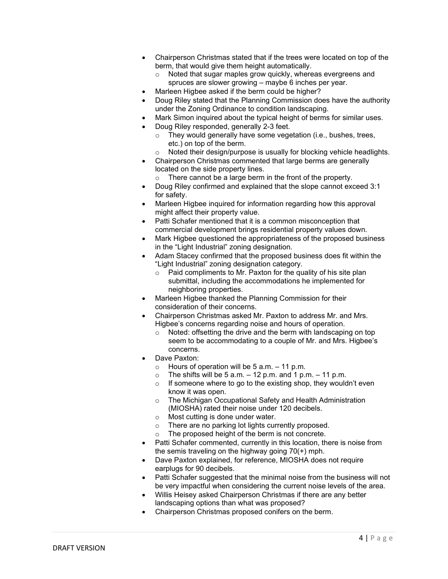- Chairperson Christmas stated that if the trees were located on top of the berm, that would give them height automatically.
	- o Noted that sugar maples grow quickly, whereas evergreens and spruces are slower growing – maybe 6 inches per year.
- Marleen Higbee asked if the berm could be higher?
- Doug Riley stated that the Planning Commission does have the authority under the Zoning Ordinance to condition landscaping.
- Mark Simon inquired about the typical height of berms for similar uses.
- Doug Riley responded, generally 2-3 feet.
	- o They would generally have some vegetation (i.e., bushes, trees, etc.) on top of the berm.
	- Noted their design/purpose is usually for blocking vehicle headlights.
- Chairperson Christmas commented that large berms are generally located on the side property lines.
	- o There cannot be a large berm in the front of the property.
- Doug Riley confirmed and explained that the slope cannot exceed 3:1 for safety.
- Marleen Higbee inquired for information regarding how this approval might affect their property value.
- Patti Schafer mentioned that it is a common misconception that commercial development brings residential property values down.
- Mark Higbee questioned the appropriateness of the proposed business in the "Light Industrial" zoning designation.
- Adam Stacey confirmed that the proposed business does fit within the "Light Industrial" zoning designation category.
	- $\circ$  Paid compliments to Mr. Paxton for the quality of his site plan submittal, including the accommodations he implemented for neighboring properties.
- Marleen Higbee thanked the Planning Commission for their consideration of their concerns.
- Chairperson Christmas asked Mr. Paxton to address Mr. and Mrs. Higbee's concerns regarding noise and hours of operation.
	- o Noted: offsetting the drive and the berm with landscaping on top seem to be accommodating to a couple of Mr. and Mrs. Higbee's concerns.
- Dave Paxton:
	-
	- $\circ$  Hours of operation will be 5 a.m. 11 p.m.<br> $\circ$  The shifts will be 5 a m 12 p.m. and 1 p.r. The shifts will be 5 a.m.  $-$  12 p.m. and 1 p.m.  $-$  11 p.m.
	- $\circ$  If someone where to go to the existing shop, they wouldn't even know it was open.
	- o The Michigan Occupational Safety and Health Administration (MIOSHA) rated their noise under 120 decibels.
	- $\circ$  Most cutting is done under water.<br>  $\circ$  There are no parking lot lights cur
	- There are no parking lot lights currently proposed.
	- The proposed height of the berm is not concrete.
- Patti Schafer commented, currently in this location, there is noise from the semis traveling on the highway going 70(+) mph.
- Dave Paxton explained, for reference, MIOSHA does not require earplugs for 90 decibels.
- Patti Schafer suggested that the minimal noise from the business will not be very impactful when considering the current noise levels of the area.
- Willis Heisey asked Chairperson Christmas if there are any better landscaping options than what was proposed?
- Chairperson Christmas proposed conifers on the berm.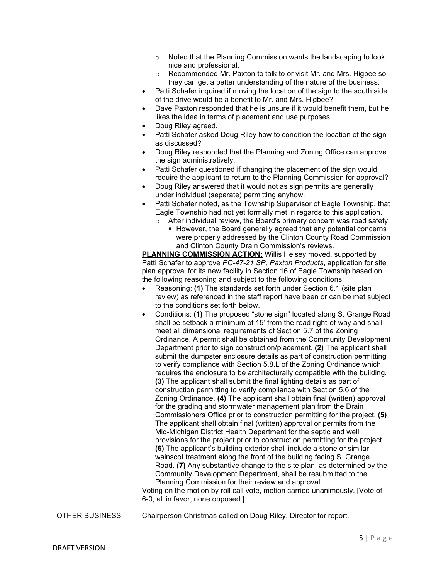- o Noted that the Planning Commission wants the landscaping to look nice and professional.
- o Recommended Mr. Paxton to talk to or visit Mr. and Mrs. Higbee so they can get a better understanding of the nature of the business.
- Patti Schafer inquired if moving the location of the sign to the south side of the drive would be a benefit to Mr. and Mrs. Higbee?
- Dave Paxton responded that he is unsure if it would benefit them, but he likes the idea in terms of placement and use purposes.
- Doug Riley agreed.
- Patti Schafer asked Doug Riley how to condition the location of the sign as discussed?
- Doug Riley responded that the Planning and Zoning Office can approve the sign administratively.
- Patti Schafer questioned if changing the placement of the sign would require the applicant to return to the Planning Commission for approval?
- Doug Riley answered that it would not as sign permits are generally under individual (separate) permitting anyhow.
- Patti Schafer noted, as the Township Supervisor of Eagle Township, that Eagle Township had not yet formally met in regards to this application.
	- o After individual review, the Board's primary concern was road safety.
		- However, the Board generally agreed that any potential concerns were properly addressed by the Clinton County Road Commission and Clinton County Drain Commission's reviews.

**PLANNING COMMISSION ACTION:** Willis Heisey moved, supported by Patti Schafer to approve *PC-47-21 SP, Paxton Products*, application for site plan approval for its new facility in Section 16 of Eagle Township based on the following reasoning and subject to the following conditions:

- Reasoning: **(1)** The standards set forth under Section 6.1 (site plan review) as referenced in the staff report have been or can be met subject to the conditions set forth below.
- Conditions: **(1)** The proposed "stone sign" located along S. Grange Road shall be setback a minimum of 15' from the road right-of-way and shall meet all dimensional requirements of Section 5.7 of the Zoning Ordinance. A permit shall be obtained from the Community Development Department prior to sign construction/placement. **(2)** The applicant shall submit the dumpster enclosure details as part of construction permitting to verify compliance with Section 5.8.L of the Zoning Ordinance which requires the enclosure to be architecturally compatible with the building. **(3)** The applicant shall submit the final lighting details as part of construction permitting to verify compliance with Section 5.6 of the Zoning Ordinance. **(4)** The applicant shall obtain final (written) approval for the grading and stormwater management plan from the Drain Commissioners Office prior to construction permitting for the project. **(5)** The applicant shall obtain final (written) approval or permits from the Mid-Michigan District Health Department for the septic and well provisions for the project prior to construction permitting for the project. **(6)** The applicant's building exterior shall include a stone or similar wainscot treatment along the front of the building facing S. Grange Road. **(7)** Any substantive change to the site plan, as determined by the Community Development Department, shall be resubmitted to the Planning Commission for their review and approval.

Voting on the motion by roll call vote, motion carried unanimously. [Vote of 6-0, all in favor, none opposed.]

OTHER BUSINESS Chairperson Christmas called on Doug Riley, Director for report.